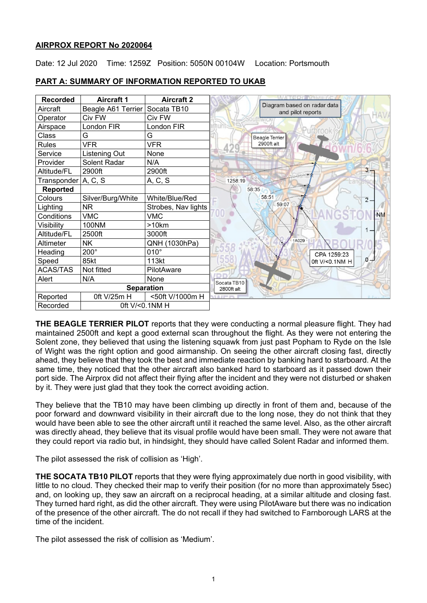## **AIRPROX REPORT No 2020064**

Date: 12 Jul 2020 Time: 1259Z Position: 5050N 00104W Location: Portsmouth

| <b>Recorded</b>            | <b>Aircraft 1</b>  | <b>Aircraft 2</b>   | MATEDIAANIHAT                                    |
|----------------------------|--------------------|---------------------|--------------------------------------------------|
| Aircraft                   | Beagle A61 Terrier | Socata TB10         | Diagram based on radar data<br>and pilot reports |
| Operator                   | Civ FW             | Civ FW              |                                                  |
| Airspace                   | London FIR         | London FIR          | <b>Irbrool</b>                                   |
| Class                      | G                  | G                   | <b>Beagle Terrier</b>                            |
| <b>Rules</b>               | <b>VFR</b>         | <b>VFR</b>          | 2900ft alt                                       |
| Service                    | Listening Out      | None                |                                                  |
| Provider                   | Solent Radar       | N/A                 |                                                  |
| Altitude/FL                | 2900ft             | 2900ft              | $3 -$                                            |
| Transponder A, C, S        |                    | A, C, S             | 1258:19                                          |
| <b>Reported</b>            |                    |                     | 58:35                                            |
| Colours                    | Silver/Burg/White  | White/Blue/Red      | 58:51<br>$2 -$                                   |
| Lighting                   | <b>NR</b>          | Strobes, Nav lights | 59:07                                            |
| Conditions                 | <b>VMC</b>         | <b>VMC</b>          | <b>NM</b>                                        |
| Visibility                 | 100NM              | >10km               |                                                  |
| Altitude/FL                | 2500ft             | 3000ft              |                                                  |
| Altimeter                  | <b>NK</b>          | QNH (1030hPa)       | A029                                             |
| Heading                    | $200^\circ$        | $010^\circ$         | CPA 1259:23                                      |
| Speed                      | 85kt               | 113kt               | $0 -$<br>Oft V/<0.1NM H                          |
| <b>ACAS/TAS</b>            | Not fitted         | PilotAware          |                                                  |
| Alert                      | N/A                | None                | Socata TB10                                      |
| <b>Separation</b>          |                    |                     | 2800ft alt                                       |
| Reported                   | 0ft V/25m H        | <50ft V/1000m H     | A 2 PM 205                                       |
| 0ft V/<0.1NM H<br>Recorded |                    |                     |                                                  |

# **PART A: SUMMARY OF INFORMATION REPORTED TO UKAB**

**THE BEAGLE TERRIER PILOT** reports that they were conducting a normal pleasure flight. They had maintained 2500ft and kept a good external scan throughout the flight. As they were not entering the Solent zone, they believed that using the listening squawk from just past Popham to Ryde on the Isle of Wight was the right option and good airmanship. On seeing the other aircraft closing fast, directly ahead, they believe that they took the best and immediate reaction by banking hard to starboard. At the same time, they noticed that the other aircraft also banked hard to starboard as it passed down their port side. The Airprox did not affect their flying after the incident and they were not disturbed or shaken by it. They were just glad that they took the correct avoiding action.

They believe that the TB10 may have been climbing up directly in front of them and, because of the poor forward and downward visibility in their aircraft due to the long nose, they do not think that they would have been able to see the other aircraft until it reached the same level. Also, as the other aircraft was directly ahead, they believe that its visual profile would have been small. They were not aware that they could report via radio but, in hindsight, they should have called Solent Radar and informed them.

The pilot assessed the risk of collision as 'High'.

**THE SOCATA TB10 PILOT** reports that they were flying approximately due north in good visibility, with little to no cloud. They checked their map to verify their position (for no more than approximately 5sec) and, on looking up, they saw an aircraft on a reciprocal heading, at a similar altitude and closing fast. They turned hard right, as did the other aircraft. They were using PilotAware but there was no indication of the presence of the other aircraft. The do not recall if they had switched to Farnborough LARS at the time of the incident.

The pilot assessed the risk of collision as 'Medium'.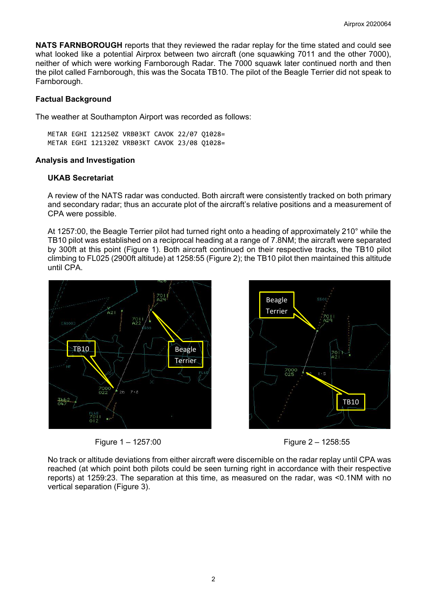**NATS FARNBOROUGH** reports that they reviewed the radar replay for the time stated and could see what looked like a potential Airprox between two aircraft (one squawking 7011 and the other 7000), neither of which were working Farnborough Radar. The 7000 squawk later continued north and then the pilot called Farnborough, this was the Socata TB10. The pilot of the Beagle Terrier did not speak to Farnborough.

# **Factual Background**

The weather at Southampton Airport was recorded as follows:

METAR EGHI 121250Z VRB03KT CAVOK 22/07 Q1028= METAR EGHI 121320Z VRB03KT CAVOK 23/08 Q1028=

## **Analysis and Investigation**

# **UKAB Secretariat**

A review of the NATS radar was conducted. Both aircraft were consistently tracked on both primary and secondary radar; thus an accurate plot of the aircraft's relative positions and a measurement of CPA were possible.

At 1257:00, the Beagle Terrier pilot had turned right onto a heading of approximately 210° while the TB10 pilot was established on a reciprocal heading at a range of 7.8NM; the aircraft were separated by 300ft at this point (Figure 1). Both aircraft continued on their respective tracks, the TB10 pilot climbing to FL025 (2900ft altitude) at 1258:55 (Figure 2); the TB10 pilot then maintained this altitude until CPA.





Figure 1 – 1257:00 Figure 2 – 1258:55

No track or altitude deviations from either aircraft were discernible on the radar replay until CPA was reached (at which point both pilots could be seen turning right in accordance with their respective reports) at 1259:23. The separation at this time, as measured on the radar, was <0.1NM with no vertical separation (Figure 3).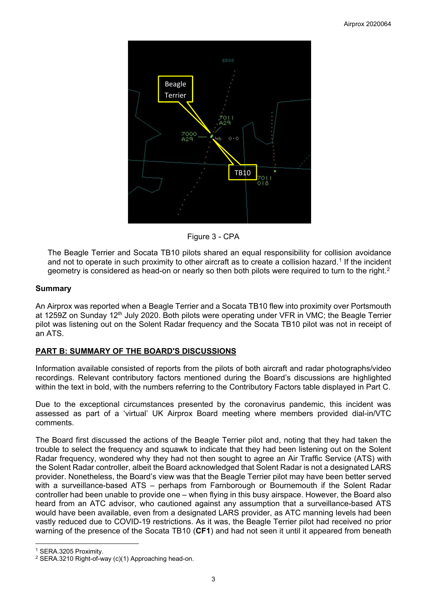

Figure 3 - CPA

The Beagle Terrier and Socata TB10 pilots shared an equal responsibility for collision avoidance and not to operate in such proximity to other aircraft as to create a collision hazard.<sup>[1](#page-2-0)</sup> If the incident geometry is considered as head-on or nearly so then both pilots were required to turn to the right.<sup>[2](#page-2-1)</sup>

#### **Summary**

An Airprox was reported when a Beagle Terrier and a Socata TB10 flew into proximity over Portsmouth at 1259Z on Sunday 12th July 2020. Both pilots were operating under VFR in VMC; the Beagle Terrier pilot was listening out on the Solent Radar frequency and the Socata TB10 pilot was not in receipt of an ATS.

## **PART B: SUMMARY OF THE BOARD'S DISCUSSIONS**

Information available consisted of reports from the pilots of both aircraft and radar photographs/video recordings. Relevant contributory factors mentioned during the Board's discussions are highlighted within the text in bold, with the numbers referring to the Contributory Factors table displayed in Part C.

Due to the exceptional circumstances presented by the coronavirus pandemic, this incident was assessed as part of a 'virtual' UK Airprox Board meeting where members provided dial-in/VTC comments.

The Board first discussed the actions of the Beagle Terrier pilot and, noting that they had taken the trouble to select the frequency and squawk to indicate that they had been listening out on the Solent Radar frequency, wondered why they had not then sought to agree an Air Traffic Service (ATS) with the Solent Radar controller, albeit the Board acknowledged that Solent Radar is not a designated LARS provider. Nonetheless, the Board's view was that the Beagle Terrier pilot may have been better served with a surveillance-based ATS – perhaps from Farnborough or Bournemouth if the Solent Radar controller had been unable to provide one – when flying in this busy airspace. However, the Board also heard from an ATC advisor, who cautioned against any assumption that a surveillance-based ATS would have been available, even from a designated LARS provider, as ATC manning levels had been vastly reduced due to COVID-19 restrictions. As it was, the Beagle Terrier pilot had received no prior warning of the presence of the Socata TB10 (**CF1**) and had not seen it until it appeared from beneath

<span id="page-2-0"></span><sup>1</sup> SERA.3205 Proximity.

<span id="page-2-1"></span><sup>2</sup> SERA.3210 Right-of-way (c)(1) Approaching head-on.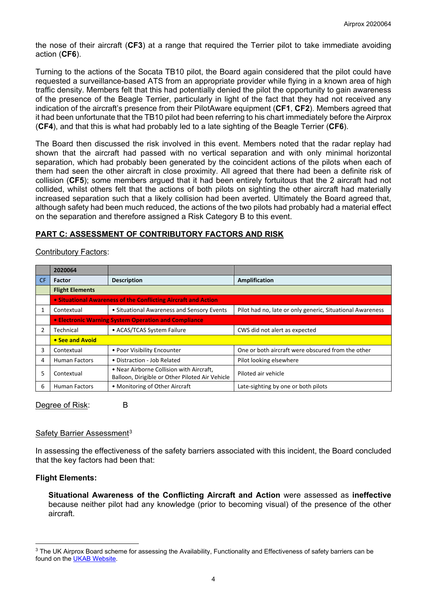the nose of their aircraft (**CF3**) at a range that required the Terrier pilot to take immediate avoiding action (**CF6**).

Turning to the actions of the Socata TB10 pilot, the Board again considered that the pilot could have requested a surveillance-based ATS from an appropriate provider while flying in a known area of high traffic density. Members felt that this had potentially denied the pilot the opportunity to gain awareness of the presence of the Beagle Terrier, particularly in light of the fact that they had not received any indication of the aircraft's presence from their PilotAware equipment (**CF1**, **CF2**). Members agreed that it had been unfortunate that the TB10 pilot had been referring to his chart immediately before the Airprox (**CF4**), and that this is what had probably led to a late sighting of the Beagle Terrier (**CF6**).

The Board then discussed the risk involved in this event. Members noted that the radar replay had shown that the aircraft had passed with no vertical separation and with only minimal horizontal separation, which had probably been generated by the coincident actions of the pilots when each of them had seen the other aircraft in close proximity. All agreed that there had been a definite risk of collision (**CF5**); some members argued that it had been entirely fortuitous that the 2 aircraft had not collided, whilst others felt that the actions of both pilots on sighting the other aircraft had materially increased separation such that a likely collision had been averted. Ultimately the Board agreed that, although safety had been much reduced, the actions of the two pilots had probably had a material effect on the separation and therefore assigned a Risk Category B to this event.

## **PART C: ASSESSMENT OF CONTRIBUTORY FACTORS AND RISK**

Contributory Factors:

|           | 2020064                                                        |                                                                                             |                                                           |  |  |  |  |  |  |  |
|-----------|----------------------------------------------------------------|---------------------------------------------------------------------------------------------|-----------------------------------------------------------|--|--|--|--|--|--|--|
| <b>CF</b> | <b>Factor</b>                                                  | <b>Description</b>                                                                          | Amplification                                             |  |  |  |  |  |  |  |
|           | <b>Flight Elements</b>                                         |                                                                                             |                                                           |  |  |  |  |  |  |  |
|           | • Situational Awareness of the Conflicting Aircraft and Action |                                                                                             |                                                           |  |  |  |  |  |  |  |
|           | Contextual                                                     | • Situational Awareness and Sensory Events                                                  | Pilot had no, late or only generic, Situational Awareness |  |  |  |  |  |  |  |
|           | • Electronic Warning System Operation and Compliance           |                                                                                             |                                                           |  |  |  |  |  |  |  |
|           | Technical                                                      | • ACAS/TCAS System Failure                                                                  | CWS did not alert as expected                             |  |  |  |  |  |  |  |
|           | • See and Avoid                                                |                                                                                             |                                                           |  |  |  |  |  |  |  |
| 3         | Contextual                                                     | • Poor Visibility Encounter                                                                 | One or both aircraft were obscured from the other         |  |  |  |  |  |  |  |
| 4         | <b>Human Factors</b>                                           | • Distraction - Job Related                                                                 | Pilot looking elsewhere                                   |  |  |  |  |  |  |  |
| 5         | Contextual                                                     | • Near Airborne Collision with Aircraft,<br>Balloon, Dirigible or Other Piloted Air Vehicle | Piloted air vehicle                                       |  |  |  |  |  |  |  |
| 6         | • Monitoring of Other Aircraft<br><b>Human Factors</b>         |                                                                                             | Late-sighting by one or both pilots                       |  |  |  |  |  |  |  |

Degree of Risk: B

## Safety Barrier Assessment<sup>[3](#page-3-0)</sup>

In assessing the effectiveness of the safety barriers associated with this incident, the Board concluded that the key factors had been that:

## **Flight Elements:**

**Situational Awareness of the Conflicting Aircraft and Action** were assessed as **ineffective** because neither pilot had any knowledge (prior to becoming visual) of the presence of the other aircraft.

<span id="page-3-0"></span><sup>&</sup>lt;sup>3</sup> The UK Airprox Board scheme for assessing the Availability, Functionality and Effectiveness of safety barriers can be found on the [UKAB Website.](http://www.airproxboard.org.uk/Learn-more/Airprox-Barrier-Assessment/)